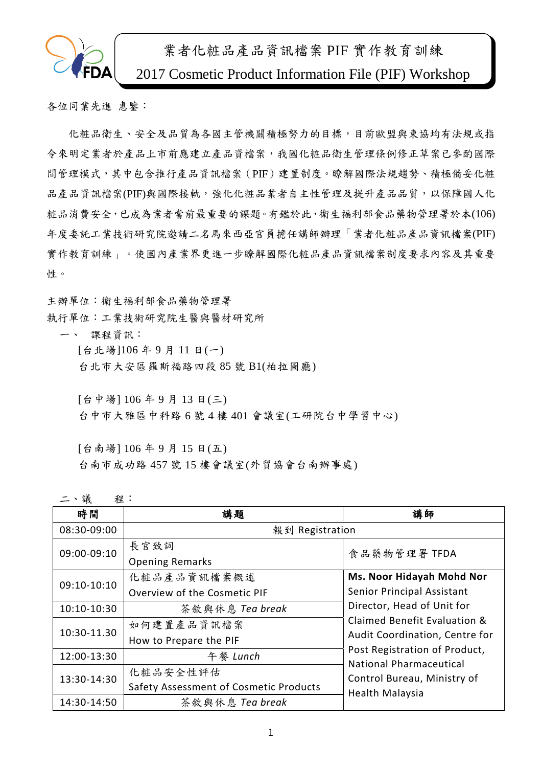

## 業者化粧品產品資訊檔案 PIF 實作教育訓練

2017 Cosmetic Product Information File (PIF) Workshop

各位同業先進 惠鑒:

化粧品衛生、安全及品質為各國主管機關積極努力的目標,目前歐盟與東協均有法規或指 令來明定業者於產品上市前應建立產品資檔案,我國化粧品衛生管理條例修正草案已參酌國際 間管理模式,其中包含推行產品資訊檔案(PIF)建置制度。瞭解國際法規趨勢、積極備妥化粧 品產品資訊檔案(PIF)與國際接軌,強化化粧品業者自主性管理及提升產品品質,以保障國人化 粧品消費安全,已成為業者當前最重要的課題。有鑑於此,衛生福利部食品藥物管理署於本(106) 年度委託工業技術研究院邀請二名馬來西亞官員擔任講師辦理「業者化粧品產品資訊檔案(PIF) 實作教育訓練」。使國內產業界更進一步瞭解國際化粧品產品資訊檔案制度要求內容及其重要 性。

主辦單位:衛生福利部食品藥物管理署 執行單位:工業技術研究院生醫與醫材研究所

一、 課程資訊:

[台北場]106 年 9 月 11 日(一) 台北市大安區羅斯福路四段 85 號 B1(柏拉圖廳)

[台中場] 106 年 9 月 13 日(三)

台中市大雅區中科路 6 號 4 樓 401 會議室(工研院台中學習中心)

[台南場] 106 年 9 月 15 日(五)

台南市成功路 457 號 15 樓會議室(外貿協會台南辦事處)

|  | 議 | 程 |  |
|--|---|---|--|
|  |   |   |  |

| 時間          | 講題                                     | 講師                                                                                                                         |  |  |
|-------------|----------------------------------------|----------------------------------------------------------------------------------------------------------------------------|--|--|
| 08:30-09:00 | 報到 Registration                        |                                                                                                                            |  |  |
| 09:00-09:10 | 長官致詞                                   | 食品藥物管理署 TFDA                                                                                                               |  |  |
|             | <b>Opening Remarks</b>                 |                                                                                                                            |  |  |
| 09:10-10:10 | 化粧品產品資訊檔案概述                            | Ms. Noor Hidayah Mohd Nor                                                                                                  |  |  |
|             | Overview of the Cosmetic PIF           | Senior Principal Assistant<br>Director, Head of Unit for<br>Claimed Benefit Evaluation &<br>Audit Coordination, Centre for |  |  |
| 10:10-10:30 | 茶敘與休息 Tea break                        |                                                                                                                            |  |  |
| 10:30-11.30 | 如何建置產品資訊檔案                             |                                                                                                                            |  |  |
|             | How to Prepare the PIF                 |                                                                                                                            |  |  |
| 12:00-13:30 | 午餐 Lunch                               | Post Registration of Product,<br><b>National Pharmaceutical</b><br>Control Bureau, Ministry of                             |  |  |
| 13:30-14:30 | 化粧品安全性評估                               |                                                                                                                            |  |  |
|             | Safety Assessment of Cosmetic Products | Health Malaysia                                                                                                            |  |  |
| 14:30-14:50 | 茶敘與休息 Tea break                        |                                                                                                                            |  |  |